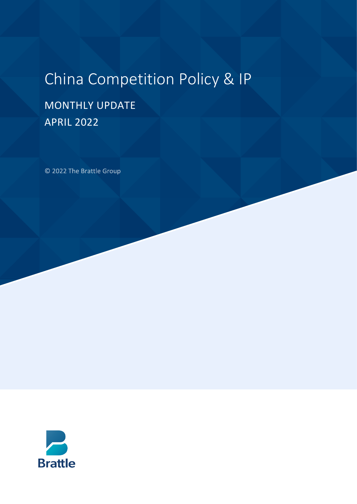# China Competition Policy & IP

## MONTHLY UPDATE APRIL 2022

© 2022 The Brattle Group

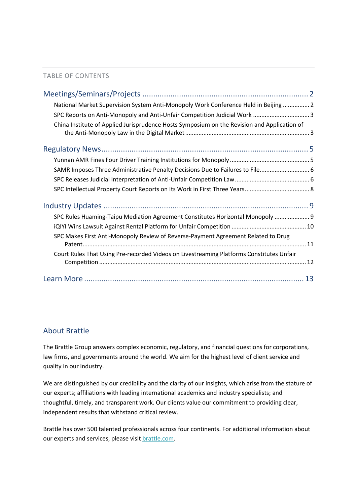#### TABLE OF CONTENTS

| National Market Supervision System Anti-Monopoly Work Conference Held in Beijing  2         |  |
|---------------------------------------------------------------------------------------------|--|
|                                                                                             |  |
| China Institute of Applied Jurisprudence Hosts Symposium on the Revision and Application of |  |
|                                                                                             |  |
|                                                                                             |  |
| SAMR Imposes Three Administrative Penalty Decisions Due to Failures to File 6               |  |
|                                                                                             |  |
|                                                                                             |  |
|                                                                                             |  |
| SPC Rules Huaming-Taipu Mediation Agreement Constitutes Horizontal Monopoly  9              |  |
|                                                                                             |  |
| SPC Makes First Anti-Monopoly Review of Reverse-Payment Agreement Related to Drug           |  |
| Court Rules That Using Pre-recorded Videos on Livestreaming Platforms Constitutes Unfair    |  |
|                                                                                             |  |

### About Brattle

The Brattle Group answers complex economic, regulatory, and financial questions for corporations, law firms, and governments around the world. We aim for the highest level of client service and quality in our industry.

We are distinguished by our credibility and the clarity of our insights, which arise from the stature of our experts; affiliations with leading international academics and industry specialists; and thoughtful, timely, and transparent work. Our clients value our commitment to providing clear, independent results that withstand critical review.

Brattle has over 500 talented professionals across four continents. For additional information about our experts and services, please visi[t brattle.com.](https://www.brattle.com/)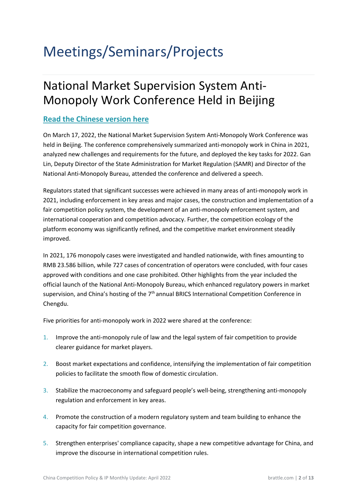# <span id="page-2-1"></span><span id="page-2-0"></span>Meetings/Seminars/Projects

## National Market Supervision System Anti-Monopoly Work Conference Held in Beijing

### **[Read the Chinese version here](https://www.samr.gov.cn/xw/zj/202203/t20220317_340564.html)**

On March 17, 2022, the National Market Supervision System Anti-Monopoly Work Conference was held in Beijing. The conference comprehensively summarized anti-monopoly work in China in 2021, analyzed new challenges and requirements for the future, and deployed the key tasks for 2022. Gan Lin, Deputy Director of the State Administration for Market Regulation (SAMR) and Director of the National Anti-Monopoly Bureau, attended the conference and delivered a speech.

Regulators stated that significant successes were achieved in many areas of anti-monopoly work in 2021, including enforcement in key areas and major cases, the construction and implementation of a fair competition policy system, the development of an anti-monopoly enforcement system, and international cooperation and competition advocacy. Further, the competition ecology of the platform economy was significantly refined, and the competitive market environment steadily improved.

In 2021, 176 monopoly cases were investigated and handled nationwide, with fines amounting to RMB 23.586 billion, while 727 cases of concentration of operators were concluded, with four cases approved with conditions and one case prohibited. Other highlights from the year included the official launch of the National Anti-Monopoly Bureau, which enhanced regulatory powers in market supervision, and China's hosting of the  $7<sup>th</sup>$  annual BRICS International Competition Conference in Chengdu.

Five priorities for anti-monopoly work in 2022 were shared at the conference:

- 1. Improve the anti-monopoly rule of law and the legal system of fair competition to provide clearer guidance for market players.
- 2. Boost market expectations and confidence, intensifying the implementation of fair competition policies to facilitate the smooth flow of domestic circulation.
- 3. Stabilize the macroeconomy and safeguard people's well-being, strengthening anti-monopoly regulation and enforcement in key areas.
- 4. Promote the construction of a modern regulatory system and team building to enhance the capacity for fair competition governance.
- 5. Strengthen enterprises' compliance capacity, shape a new competitive advantage for China, and improve the discourse in international competition rules.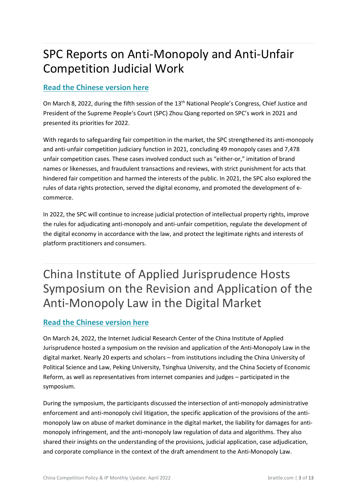## <span id="page-3-0"></span>SPC Reports on Anti-Monopoly and Anti-Unfair Competition Judicial Work

### **[Read the Chinese version here](http://lianghui.people.com.cn/2022npc/n1/2022/0315/c441810-32375400.html)**

On March 8, 2022, during the fifth session of the 13th National People's Congress, Chief Justice and President of the Supreme People's Court (SPC) Zhou Qiang reported on SPC's work in 2021 and presented its priorities for 2022.

With regards to safeguarding fair competition in the market, the SPC strengthened its anti-monopoly and anti-unfair competition judiciary function in 2021, concluding 49 monopoly cases and 7,478 unfair competition cases. These cases involved conduct such as "either-or," imitation of brand names or likenesses, and fraudulent transactions and reviews, with strict punishment for acts that hindered fair competition and harmed the interests of the public. In 2021, the SPC also explored the rules of data rights protection, served the digital economy, and promoted the development of ecommerce.

In 2022, the SPC will continue to increase judicial protection of intellectual property rights, improve the rules for adjudicating anti-monopoly and anti-unfair competition, regulate the development of the digital economy in accordance with the law, and protect the legitimate rights and interests of platform practitioners and consumers.

<span id="page-3-1"></span>China Institute of Applied Jurisprudence Hosts Symposium on the Revision and Application of the Anti-Monopoly Law in the Digital Market

### **[Read the Chinese version here](http://rmfyb.chinacourt.org/paper/html/2022-03/26/content_215345.htm)**

On March 24, 2022, the Internet Judicial Research Center of the China Institute of Applied Jurisprudence hosted a symposium on the revision and application of the Anti-Monopoly Law in the digital market. Nearly 20 experts and scholars – from institutions including the China University of Political Science and Law, Peking University, Tsinghua University, and the China Society of Economic Reform, as well as representatives from internet companies and judges – participated in the symposium.

During the symposium, the participants discussed the intersection of anti-monopoly administrative enforcement and anti-monopoly civil litigation, the specific application of the provisions of the antimonopoly law on abuse of market dominance in the digital market, the liability for damages for antimonopoly infringement, and the anti-monopoly law regulation of data and algorithms. They also shared their insights on the understanding of the provisions, judicial application, case adjudication, and corporate compliance in the context of the draft amendment to the Anti-Monopoly Law.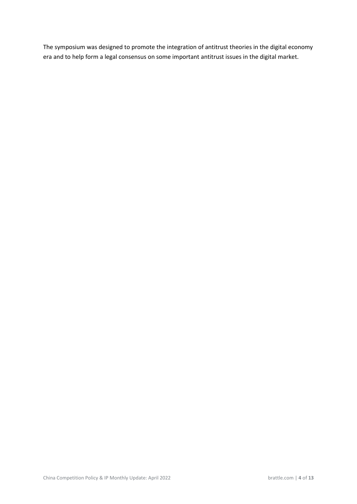The symposium was designed to promote the integration of antitrust theories in the digital economy era and to help form a legal consensus on some important antitrust issues in the digital market.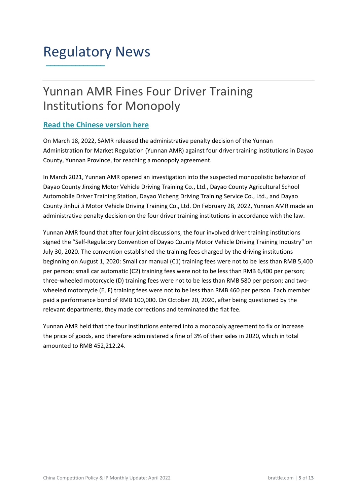## <span id="page-5-0"></span>Regulatory News **\_\_\_\_\_\_\_\_\_\_\_\_\_\_**

## <span id="page-5-1"></span>Yunnan AMR Fines Four Driver Training Institutions for Monopoly

### **[Read the Chinese version here](http://neweconomy.chinadevelopment.com.cn/xfz/xjt/2022/0324/1770733.shtml?msclkid=156c594bb94211ecbc0bc7d5d5f0e094)**

On March 18, 2022, SAMR released the administrative penalty decision of the Yunnan Administration for Market Regulation (Yunnan AMR) against four driver training institutions in Dayao County, Yunnan Province, for reaching a monopoly agreement.

In March 2021, Yunnan AMR opened an investigation into the suspected monopolistic behavior of Dayao County Jinxing Motor Vehicle Driving Training Co., Ltd., Dayao County Agricultural School Automobile Driver Training Station, Dayao Yicheng Driving Training Service Co., Ltd., and Dayao County Jinhui Ji Motor Vehicle Driving Training Co., Ltd. On February 28, 2022, Yunnan AMR made an administrative penalty decision on the four driver training institutions in accordance with the law.

Yunnan AMR found that after four joint discussions, the four involved driver training institutions signed the "Self-Regulatory Convention of Dayao County Motor Vehicle Driving Training Industry" on July 30, 2020. The convention established the training fees charged by the driving institutions beginning on August 1, 2020: Small car manual (C1) training fees were not to be less than RMB 5,400 per person; small car automatic (C2) training fees were not to be less than RMB 6,400 per person; three-wheeled motorcycle (D) training fees were not to be less than RMB 580 per person; and twowheeled motorcycle (E, F) training fees were not to be less than RMB 460 per person. Each member paid a performance bond of RMB 100,000. On October 20, 2020, after being questioned by the relevant departments, they made corrections and terminated the flat fee.

Yunnan AMR held that the four institutions entered into a monopoly agreement to fix or increase the price of goods, and therefore administered a fine of 3% of their sales in 2020, which in total amounted to RMB 452,212.24.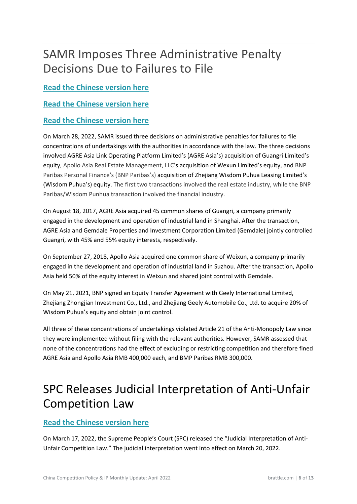## <span id="page-6-0"></span>SAMR Imposes Three Administrative Penalty Decisions Due to Failures to File

### **[Read the Chinese version here](https://www.samr.gov.cn/fldj/tzgg/xzcf/202203/t20220329_340898.html)**

### **[Read the Chinese version here](https://www.samr.gov.cn/fldj/tzgg/xzcf/202203/t20220329_340897.html)**

### **[Read the Chinese version here](https://www.samr.gov.cn/fldj/tzgg/xzcf/202203/t20220329_340896.html)**

On March 28, 2022, SAMR issued three decisions on administrative penalties for failures to file concentrations of undertakings with the authorities in accordance with the law. The three decisions involved AGRE Asia Link Operating Platform Limited's (AGRE Asia's) acquisition of Guangri Limited's equity, Apollo Asia Real Estate Management, LLC's acquisition of Wexun Limited's equity, and BNP Paribas Personal Finance's (BNP Paribas's) acquisition of Zhejiang Wisdom Puhua Leasing Limited's (Wisdom Puhua's) equity. The first two transactions involved the real estate industry, while the BNP Paribas/Wisdom Punhua transaction involved the financial industry.

On August 18, 2017, AGRE Asia acquired 45 common shares of Guangri, a company primarily engaged in the development and operation of industrial land in Shanghai. After the transaction, AGRE Asia and Gemdale Properties and Investment Corporation Limited (Gemdale) jointly controlled Guangri, with 45% and 55% equity interests, respectively.

On September 27, 2018, Apollo Asia acquired one common share of Weixun, a company primarily engaged in the development and operation of industrial land in Suzhou. After the transaction, Apollo Asia held 50% of the equity interest in Weixun and shared joint control with Gemdale.

On May 21, 2021, BNP signed an Equity Transfer Agreement with Geely International Limited, Zhejiang Zhongjian Investment Co., Ltd., and Zhejiang Geely Automobile Co., Ltd. to acquire 20% of Wisdom Puhua's equity and obtain joint control.

All three of these concentrations of undertakings violated Article 21 of the Anti-Monopoly Law since they were implemented without filing with the relevant authorities. However, SAMR assessed that none of the concentrations had the effect of excluding or restricting competition and therefore fined AGRE Asia and Apollo Asia RMB 400,000 each, and BMP Paribas RMB 300,000.

## <span id="page-6-1"></span>SPC Releases Judicial Interpretation of Anti-Unfair Competition Law

### **[Read the Chinese version here](https://www.court.gov.cn/zixun-xiangqing-351311.html)**

On March 17, 2022, the Supreme People's Court (SPC) released the "Judicial Interpretation of Anti-Unfair Competition Law." The judicial interpretation went into effect on March 20, 2022.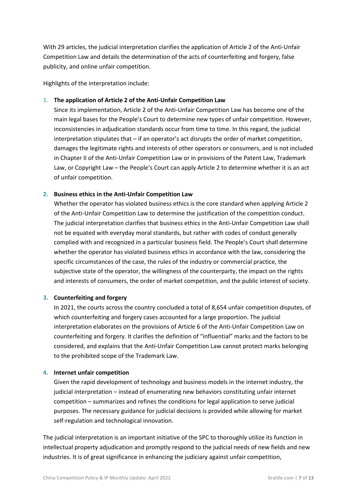With 29 articles, the judicial interpretation clarifies the application of Article 2 of the Anti-Unfair Competition Law and details the determination of the acts of counterfeiting and forgery, false publicity, and online unfair competition.

Highlights of the interpretation include:

#### 1. **The application of Article 2 of the Anti-Unfair Competition Law**

Since its implementation, Article 2 of the Anti-Unfair Competition Law has become one of the main legal bases for the People's Court to determine new types of unfair competition. However, inconsistencies in adjudication standards occur from time to time. In this regard, the judicial interpretation stipulates that – if an operator's act disrupts the order of market competition, damages the legitimate rights and interests of other operators or consumers, and is not included in Chapter II of the Anti-Unfair Competition Law or in provisions of the Patent Law, Trademark Law, or Copyright Law – the People's Court can apply Article 2 to determine whether it is an act of unfair competition.

#### **2. Business ethics in the Anti-Unfair Competition Law**

Whether the operator has violated business ethics is the core standard when applying Article 2 of the Anti-Unfair Competition Law to determine the justification of the competition conduct. The judicial interpretation clarifies that business ethics in the Anti-Unfair Competition Law shall not be equated with everyday moral standards, but rather with codes of conduct generally complied with and recognized in a particular business field. The People's Court shall determine whether the operator has violated business ethics in accordance with the law, considering the specific circumstances of the case, the rules of the industry or commercial practice, the subjective state of the operator, the willingness of the counterparty, the impact on the rights and interests of consumers, the order of market competition, and the public interest of society.

#### **3. Counterfeiting and forgery**

In 2021, the courts across the country concluded a total of 8,654 unfair competition disputes, of which counterfeiting and forgery cases accounted for a large proportion. The judicial interpretation elaborates on the provisions of Article 6 of the Anti-Unfair Competition Law on counterfeiting and forgery. It clarifies the definition of "influential" marks and the factors to be considered, and explains that the Anti-Unfair Competition Law cannot protect marks belonging to the prohibited scope of the Trademark Law.

#### **4. Internet unfair competition**

Given the rapid development of technology and business models in the internet industry, the judicial interpretation – instead of enumerating new behaviors constituting unfair internet competition – summarizes and refines the conditions for legal application to serve judicial purposes. The necessary guidance for judicial decisions is provided while allowing for market self-regulation and technological innovation.

The judicial interpretation is an important initiative of the SPC to thoroughly utilize its function in intellectual property adjudication and promptly respond to the judicial needs of new fields and new industries. It is of great significance in enhancing the judiciary against unfair competition,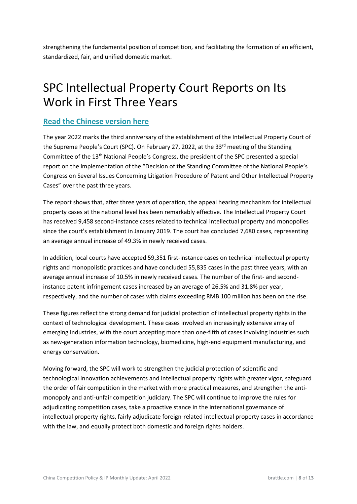<span id="page-8-0"></span>strengthening the fundamental position of competition, and facilitating the formation of an efficient, standardized, fair, and unified domestic market.

## SPC Intellectual Property Court Reports on Its Work in First Three Years

### **[Read the Chinese version here](http://www.news.cn/legal/2022-02/27/c_1128420866.htm)**

The year 2022 marks the third anniversary of the establishment of the Intellectual Property Court of the Supreme People's Court (SPC). On February 27, 2022, at the 33<sup>rd</sup> meeting of the Standing Committee of the 13th National People's Congress, the president of the SPC presented a special report on the implementation of the "Decision of the Standing Committee of the National People's Congress on Several Issues Concerning Litigation Procedure of Patent and Other Intellectual Property Cases" over the past three years.

The report shows that, after three years of operation, the appeal hearing mechanism for intellectual property cases at the national level has been remarkably effective. The Intellectual Property Court has received 9,458 second-instance cases related to technical intellectual property and monopolies since the court's establishment in January 2019. The court has concluded 7,680 cases, representing an average annual increase of 49.3% in newly received cases.

In addition, local courts have accepted 59,351 first-instance cases on technical intellectual property rights and monopolistic practices and have concluded 55,835 cases in the past three years, with an average annual increase of 10.5% in newly received cases. The number of the first- and secondinstance patent infringement cases increased by an average of 26.5% and 31.8% per year, respectively, and the number of cases with claims exceeding RMB 100 million has been on the rise.

These figures reflect the strong demand for judicial protection of intellectual property rights in the context of technological development. These cases involved an increasingly extensive array of emerging industries, with the court accepting more than one-fifth of cases involving industries such as new-generation information technology, biomedicine, high-end equipment manufacturing, and energy conservation.

Moving forward, the SPC will work to strengthen the judicial protection of scientific and technological innovation achievements and intellectual property rights with greater vigor, safeguard the order of fair competition in the market with more practical measures, and strengthen the antimonopoly and anti-unfair competition judiciary. The SPC will continue to improve the rules for adjudicating competition cases, take a proactive stance in the international governance of intellectual property rights, fairly adjudicate foreign-related intellectual property cases in accordance with the law, and equally protect both domestic and foreign rights holders.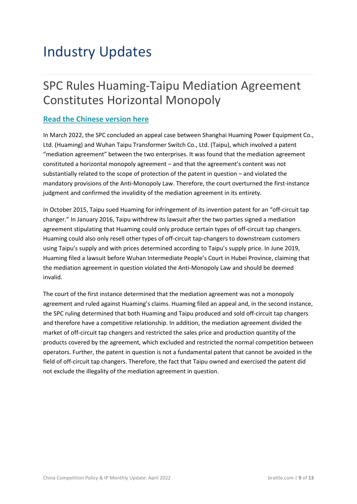## <span id="page-9-1"></span><span id="page-9-0"></span>Industry Updates

## [SPC Rules Huaming-Taipu Mediation Agreement](#page-9-1)  [Constitutes Horizontal Monopoly](#page-9-1)

### **[Read the Chinese version here](https://enipc.court.gov.cn/zh-cn/news/view-1934.html?msclkid=908c232db8ee11ec9c57333085151cfb)**

In March 2022, the SPC concluded an appeal case between Shanghai Huaming Power Equipment Co., Ltd. (Huaming) and Wuhan Taipu Transformer Switch Co., Ltd. (Taipu), which involved a patent "mediation agreement" between the two enterprises. It was found that the mediation agreement constituted a horizontal monopoly agreement – and that the agreement's content was not substantially related to the scope of protection of the patent in question – and violated the mandatory provisions of the Anti-Monopoly Law. Therefore, the court overturned the first-instance judgment and confirmed the invalidity of the mediation agreement in its entirety.

In October 2015, Taipu sued Huaming for infringement of its invention patent for an "off-circuit tap changer." In January 2016, Taipu withdrew its lawsuit after the two parties signed a mediation agreement stipulating that Huaming could only produce certain types of off-circuit tap changers. Huaming could also only resell other types of off-circuit tap-changers to downstream customers using Taipu's supply and with prices determined according to Taipu's supply price. In June 2019, Huaming filed a lawsuit before Wuhan Intermediate People's Court in Hubei Province, claiming that the mediation agreement in question violated the Anti-Monopoly Law and should be deemed invalid.

The court of the first instance determined that the mediation agreement was not a monopoly agreement and ruled against Huaming's claims. Huaming filed an appeal and, in the second instance, the SPC ruling determined that both Huaming and Taipu produced and sold off-circuit tap changers and therefore have a competitive relationship. In addition, the mediation agreement divided the market of off-circuit tap changers and restricted the sales price and production quantity of the products covered by the agreement, which excluded and restricted the normal competition between operators. Further, the patent in question is not a fundamental patent that cannot be avoided in the field of off-circuit tap changers. Therefore, the fact that Taipu owned and exercised the patent did not exclude the illegality of the mediation agreement in question.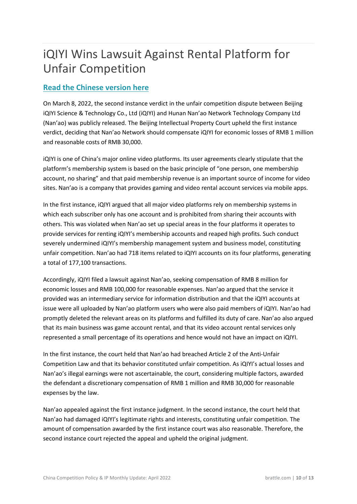## <span id="page-10-0"></span>iQIYI Wins Lawsuit Against Rental Platform for Unfair Competition

### **[Read the Chinese version here](http://www.ciplawyer.com/html/spfbzdjz/20220309/148007.html)**

On March 8, 2022, the second instance verdict in the unfair competition dispute between Beijing iQIYI Science & Technology Co., Ltd (iQIYI) and Hunan Nan'ao Network Technology Company Ltd (Nan'ao) was publicly released. The Beijing Intellectual Property Court upheld the first instance verdict, deciding that Nan'ao Network should compensate iQIYI for economic losses of RMB 1 million and reasonable costs of RMB 30,000.

iQIYI is one of China's major online video platforms. Its user agreements clearly stipulate that the platform's membership system is based on the basic principle of "one person, one membership account, no sharing" and that paid membership revenue is an important source of income for video sites. Nan'ao is a company that provides gaming and video rental account services via mobile apps.

In the first instance, iQIYI argued that all major video platforms rely on membership systems in which each subscriber only has one account and is prohibited from sharing their accounts with others. This was violated when Nan'ao set up special areas in the four platforms it operates to provide services for renting iQIYI's membership accounts and reaped high profits. Such conduct severely undermined iQIYI's membership management system and business model, constituting unfair competition. Nan'ao had 718 items related to iQIYI accounts on its four platforms, generating a total of 177,100 transactions.

Accordingly, iQIYI filed a lawsuit against Nan'ao, seeking compensation of RMB 8 million for economic losses and RMB 100,000 for reasonable expenses. Nan'ao argued that the service it provided was an intermediary service for information distribution and that the iQIYI accounts at issue were all uploaded by Nan'ao platform users who were also paid members of iQIYI. Nan'ao had promptly deleted the relevant areas on its platforms and fulfilled its duty of care. Nan'ao also argued that its main business was game account rental, and that its video account rental services only represented a small percentage of its operations and hence would not have an impact on iQIYI.

In the first instance, the court held that Nan'ao had breached Article 2 of the Anti-Unfair Competition Law and that its behavior constituted unfair competition. As iQIYI's actual losses and Nan'ao's illegal earnings were not ascertainable, the court, considering multiple factors, awarded the defendant a discretionary compensation of RMB 1 million and RMB 30,000 for reasonable expenses by the law.

Nan'ao appealed against the first instance judgment. In the second instance, the court held that Nan'ao had damaged iQIYI's legitimate rights and interests, constituting unfair competition. The amount of compensation awarded by the first instance court was also reasonable. Therefore, the second instance court rejected the appeal and upheld the original judgment.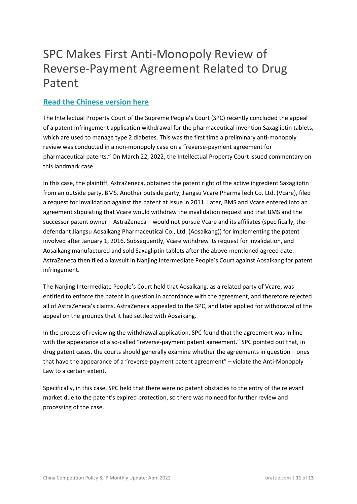## <span id="page-11-0"></span>SPC Makes First Anti-Monopoly Review of Reverse-Payment Agreement Related to Drug Patent

### **[Read the Chinese version here](https://ipc.court.gov.cn/zh-cn/news/view-1881.html)**

The Intellectual Property Court of the Supreme People's Court (SPC) recently concluded the appeal of a patent infringement application withdrawal for the pharmaceutical invention Saxagliptin tablets, which are used to manage type 2 diabetes. This was the first time a preliminary anti-monopoly review was conducted in a non-monopoly case on a "reverse-payment agreement for pharmaceutical patents." On March 22, 2022, the Intellectual Property Court issued commentary on this landmark case.

In this case, the plaintiff, AstraZeneca, obtained the patent right of the active ingredient Saxagliptin from an outside party, BMS. Another outside party, Jiangsu Vcare PharmaTech Co. Ltd. (Vcare), filed a request for invalidation against the patent at issue in 2011. Later, BMS and Vcare entered into an agreement stipulating that Vcare would withdraw the invalidation request and that BMS and the successor patent owner – AstraZeneca – would not pursue Vcare and its affiliates (specifically, the defendant Jiangsu Aosaikang Pharmaceutical Co., Ltd. (Aosaikang)) for implementing the patent involved after January 1, 2016. Subsequently, Vcare withdrew its request for invalidation, and Aosaikang manufactured and sold Saxagliptin tablets after the above-mentioned agreed date. AstraZeneca then filed a lawsuit in Nanjing Intermediate People's Court against Aosaikang for patent infringement.

The Nanjing Intermediate People's Court held that Aosaikang, as a related party of Vcare, was entitled to enforce the patent in question in accordance with the agreement, and therefore rejected all of AstraZeneca's claims. AstraZeneca appealed to the SPC, and later applied for withdrawal of the appeal on the grounds that it had settled with Aosaikang.

In the process of reviewing the withdrawal application, SPC found that the agreement was in line with the appearance of a so-called "reverse-payment patent agreement." SPC pointed out that, in drug patent cases, the courts should generally examine whether the agreements in question – ones that have the appearance of a "reverse-payment patent agreement" – violate the Anti-Monopoly Law to a certain extent.

Specifically, in this case, SPC held that there were no patent obstacles to the entry of the relevant market due to the patent's expired protection, so there was no need for further review and processing of the case.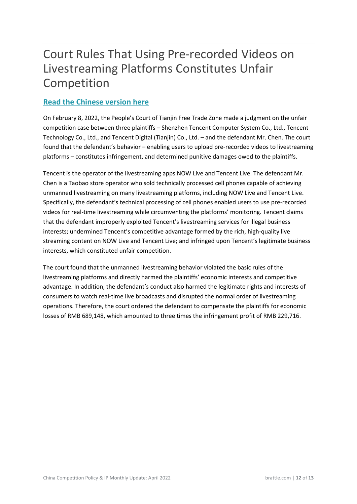## <span id="page-12-0"></span>Court Rules That Using Pre-recorded Videos on Livestreaming Platforms Constitutes Unfair Competition

### **[Read the Chinese version here](https://new.qq.com/omn/20220326/20220326A08BIA00.html)**

On February 8, 2022, the People's Court of Tianjin Free Trade Zone made a judgment on the unfair competition case between three plaintiffs – Shenzhen Tencent Computer System Co., Ltd., Tencent Technology Co., Ltd., and Tencent Digital (Tianjin) Co., Ltd. – and the defendant Mr. Chen. The court found that the defendant's behavior – enabling users to upload pre-recorded videos to livestreaming platforms – constitutes infringement, and determined punitive damages owed to the plaintiffs.

Tencent is the operator of the livestreaming apps NOW Live and Tencent Live. The defendant Mr. Chen is a Taobao store operator who sold technically processed cell phones capable of achieving unmanned livestreaming on many livestreaming platforms, including NOW Live and Tencent Live. Specifically, the defendant's technical processing of cell phones enabled users to use pre-recorded videos for real-time livestreaming while circumventing the platforms' monitoring. Tencent claims that the defendant improperly exploited Tencent's livestreaming services for illegal business interests; undermined Tencent's competitive advantage formed by the rich, high-quality live streaming content on NOW Live and Tencent Live; and infringed upon Tencent's legitimate business interests, which constituted unfair competition.

The court found that the unmanned livestreaming behavior violated the basic rules of the livestreaming platforms and directly harmed the plaintiffs' economic interests and competitive advantage. In addition, the defendant's conduct also harmed the legitimate rights and interests of consumers to watch real-time live broadcasts and disrupted the normal order of livestreaming operations. Therefore, the court ordered the defendant to compensate the plaintiffs for economic losses of RMB 689,148, which amounted to three times the infringement profit of RMB 229,716.